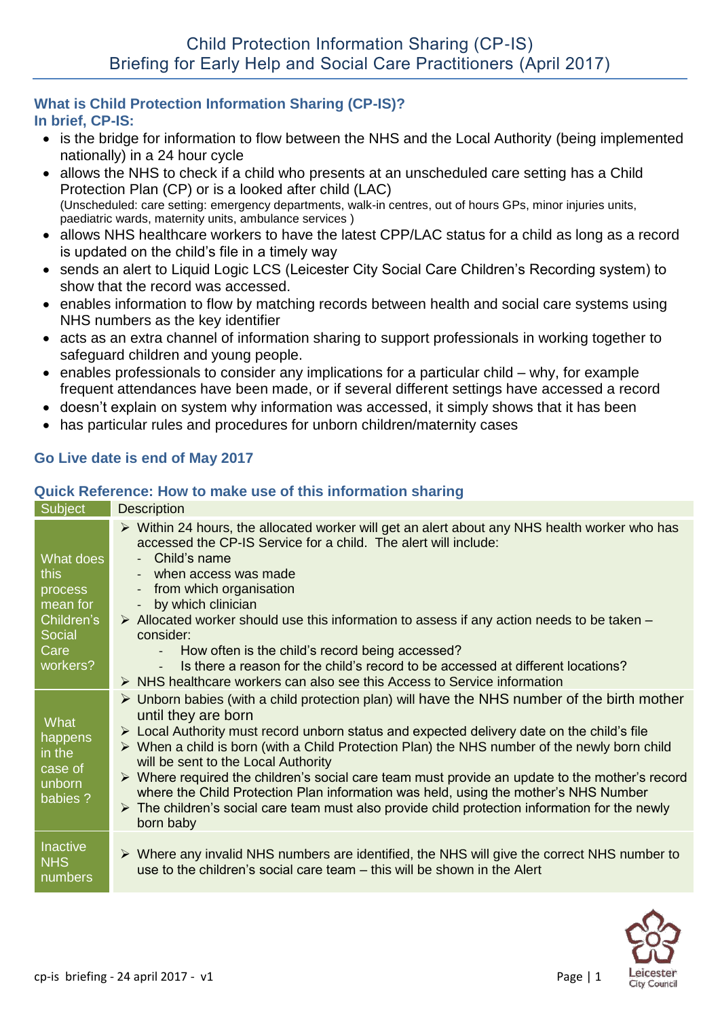### **What is Child Protection Information Sharing (CP-IS)? In brief, CP-IS:**

- is the bridge for information to flow between the NHS and the Local Authority (being implemented nationally) in a 24 hour cycle
- allows the NHS to check if a child who presents at an unscheduled care setting has a Child Protection Plan (CP) or is a looked after child (LAC) (Unscheduled: care setting: emergency departments, walk-in centres, out of hours GPs, minor injuries units, paediatric wards, maternity units, ambulance services )
- allows NHS healthcare workers to have the latest CPP/LAC status for a child as long as a record is updated on the child's file in a timely way
- sends an alert to Liquid Logic LCS (Leicester City Social Care Children's Recording system) to show that the record was accessed.
- enables information to flow by matching records between health and social care systems using NHS numbers as the key identifier
- acts as an extra channel of information sharing to support professionals in working together to safeguard children and young people.
- $\bullet$  enables professionals to consider any implications for a particular child why, for example frequent attendances have been made, or if several different settings have accessed a record
- doesn't explain on system why information was accessed, it simply shows that it has been
- has particular rules and procedures for unborn children/maternity cases

# **Go Live date is end of May 2017**

### **Quick Reference: How to make use of this information sharing**

#### Subject Description What does this process mean for Children's Social Care workers?  $\triangleright$  Within 24 hours, the allocated worker will get an alert about any NHS health worker who has accessed the CP-IS Service for a child. The alert will include: Child's name when access was made from which organisation by which clinician  $\triangleright$  Allocated worker should use this information to assess if any action needs to be taken – consider: How often is the child's record being accessed? Is there a reason for the child's record to be accessed at different locations?  $\triangleright$  NHS healthcare workers can also see this Access to Service information **What** happens in the case of unborn babies ?  $\triangleright$  Unborn babies (with a child protection plan) will have the NHS number of the birth mother until they are born  $\triangleright$  Local Authority must record unborn status and expected delivery date on the child's file When a child is born (with a Child Protection Plan) the NHS number of the newly born child will be sent to the Local Authority  $\triangleright$  Where required the children's social care team must provide an update to the mother's record where the Child Protection Plan information was held, using the mother's NHS Number  $\triangleright$  The children's social care team must also provide child protection information for the newly born baby **Inactive NHS** numbers  $\triangleright$  Where any invalid NHS numbers are identified, the NHS will give the correct NHS number to use to the children's social care team – this will be shown in the Alert